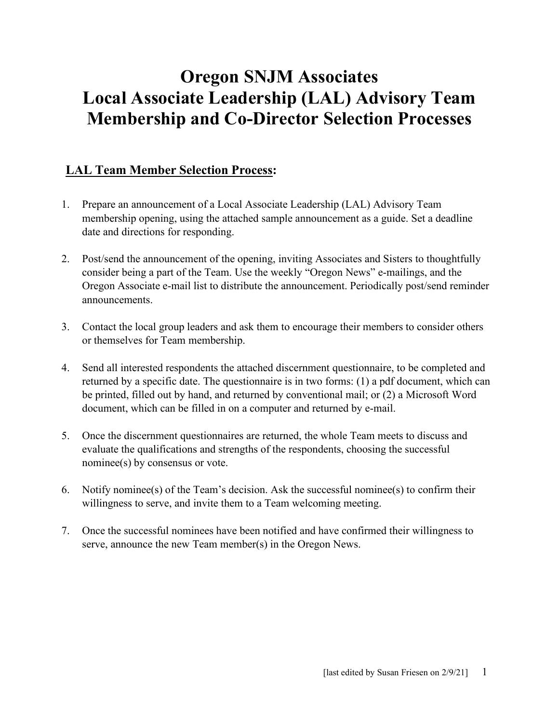# **Oregon SNJM Associates Local Associate Leadership (LAL) Advisory Team Membership and Co-Director Selection Processes**

### **LAL Team Member Selection Process:**

- 1. Prepare an announcement of a Local Associate Leadership (LAL) Advisory Team membership opening, using the attached sample announcement as a guide. Set a deadline date and directions for responding.
- 2. Post/send the announcement of the opening, inviting Associates and Sisters to thoughtfully consider being a part of the Team. Use the weekly "Oregon News" e-mailings, and the Oregon Associate e-mail list to distribute the announcement. Periodically post/send reminder announcements.
- 3. Contact the local group leaders and ask them to encourage their members to consider others or themselves for Team membership.
- 4. Send all interested respondents the attached discernment questionnaire, to be completed and returned by a specific date. The questionnaire is in two forms: (1) a pdf document, which can be printed, filled out by hand, and returned by conventional mail; or (2) a Microsoft Word document, which can be filled in on a computer and returned by e-mail.
- 5. Once the discernment questionnaires are returned, the whole Team meets to discuss and evaluate the qualifications and strengths of the respondents, choosing the successful nominee(s) by consensus or vote.
- 6. Notify nominee(s) of the Team's decision. Ask the successful nominee(s) to confirm their willingness to serve, and invite them to a Team welcoming meeting.
- 7. Once the successful nominees have been notified and have confirmed their willingness to serve, announce the new Team member(s) in the Oregon News.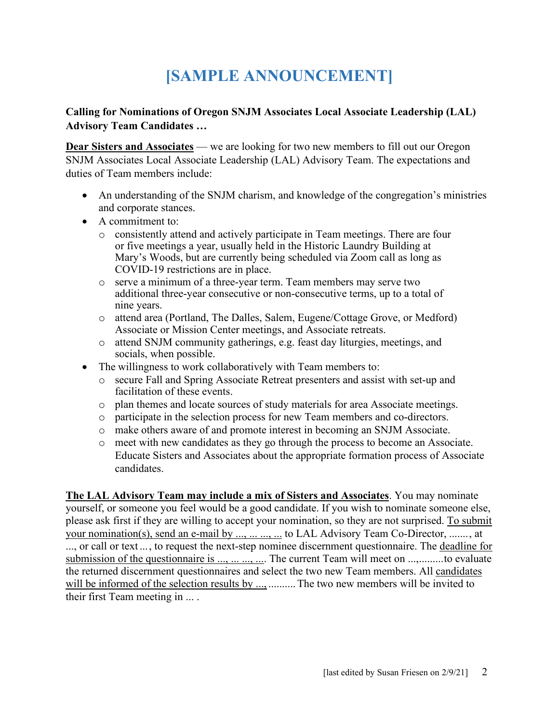# **[SAMPLE ANNOUNCEMENT]**

#### **Calling for Nominations of Oregon SNJM Associates Local Associate Leadership (LAL) Advisory Team Candidates …**

**Dear Sisters and Associates** — we are looking for two new members to fill out our Oregon SNJM Associates Local Associate Leadership (LAL) Advisory Team. The expectations and duties of Team members include:

- An understanding of the SNJM charism, and knowledge of the congregation's ministries and corporate stances.
- A commitment to:
	- o consistently attend and actively participate in Team meetings. There are four or five meetings a year, usually held in the Historic Laundry Building at Mary's Woods, but are currently being scheduled via Zoom call as long as COVID-19 restrictions are in place.
	- o serve a minimum of a three-year term. Team members may serve two additional three-year consecutive or non-consecutive terms, up to a total of nine years.
	- o attend area (Portland, The Dalles, Salem, Eugene/Cottage Grove, or Medford) Associate or Mission Center meetings, and Associate retreats.
	- o attend SNJM community gatherings, e.g. feast day liturgies, meetings, and socials, when possible.
- The willingness to work collaboratively with Team members to:
	- o secure Fall and Spring Associate Retreat presenters and assist with set-up and facilitation of these events.
	- o plan themes and locate sources of study materials for area Associate meetings.
	- o participate in the selection process for new Team members and co-directors.
	- o make others aware of and promote interest in becoming an SNJM Associate.
	- o meet with new candidates as they go through the process to become an Associate. Educate Sisters and Associates about the appropriate formation process of Associate candidates.

**The LAL Advisory Team may include a mix of Sisters and Associates**. You may nominate yourself, or someone you feel would be a good candidate. If you wish to nominate someone else, please ask first if they are willing to accept your nomination, so they are not surprised. To submit your nomination(s), send an e-mail by ..., ... ..., ... to LAL Advisory Team Co-Director, ......., at ..., or call or text ..., to request the next-step nominee discernment questionnaire. The deadline for submission of the questionnaire is ..., ... ..., .... The current Team will meet on ...,.........to evaluate the returned discernment questionnaires and select the two new Team members. All candidates will be informed of the selection results by ..., ........... The two new members will be invited to their first Team meeting in ... .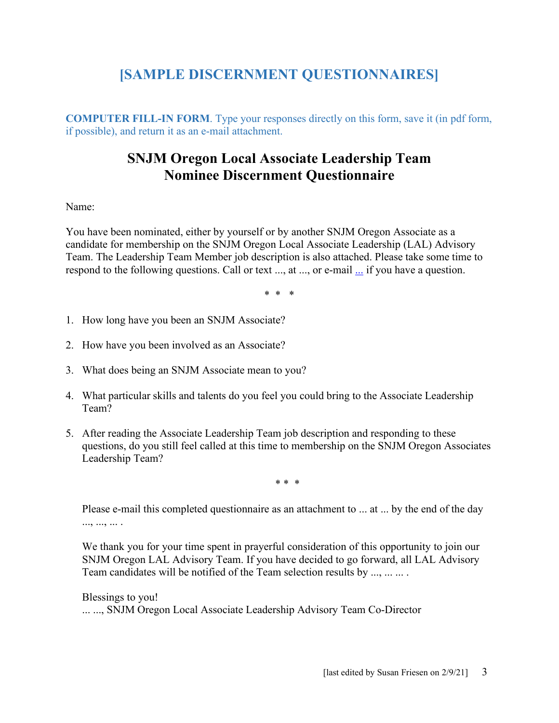## **[SAMPLE DISCERNMENT QUESTIONNAIRES]**

**COMPUTER FILL-IN FORM**. Type your responses directly on this form, save it (in pdf form, if possible), and return it as an e-mail attachment.

### **SNJM Oregon Local Associate Leadership Team Nominee Discernment Questionnaire**

#### Name:

You have been nominated, either by yourself or by another SNJM Oregon Associate as a candidate for membership on the SNJM Oregon Local Associate Leadership (LAL) Advisory Team. The Leadership Team Member job description is also attached. Please take some time to respond to the following questions. Call or text ..., at ..., or e-mail [...](mailto:susan_friesen66@msn.com) if you have a question.

\* \* \*

- 1. How long have you been an SNJM Associate?
- 2. How have you been involved as an Associate?
- 3. What does being an SNJM Associate mean to you?
- 4. What particular skills and talents do you feel you could bring to the Associate Leadership Team?
- 5. After reading the Associate Leadership Team job description and responding to these questions, do you still feel called at this time to membership on the SNJM Oregon Associates Leadership Team?

\* \* \*

Please e-mail this completed questionnaire as an attachment to ... at ... by the end of the day ..., ..., ... .

We thank you for your time spent in prayerful consideration of this opportunity to join our SNJM Oregon LAL Advisory Team. If you have decided to go forward, all LAL Advisory Team candidates will be notified of the Team selection results by ..., ... ... .

Blessings to you! ... ..., SNJM Oregon Local Associate Leadership Advisory Team Co-Director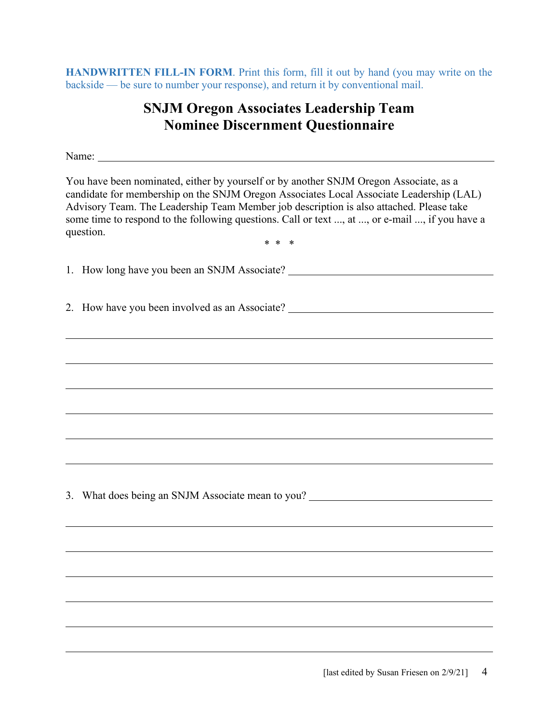**HANDWRITTEN FILL-IN FORM**. Print this form, fill it out by hand (you may write on the backside — be sure to number your response), and return it by conventional mail.

### **SNJM Oregon Associates Leadership Team Nominee Discernment Questionnaire**

Name:  $\blacksquare$ 

You have been nominated, either by yourself or by another SNJM Oregon Associate, as a candidate for membership on the SNJM Oregon Associates Local Associate Leadership (LAL) Advisory Team. The Leadership Team Member job description is also attached. Please take some time to respond to the following questions. Call or text ..., at ..., or e-mail ..., if you have a question. \* \* \*

1. How long have you been an SNJM Associate?

2. How have you been involved as an Associate?

3. What does being an SNJM Associate mean to you?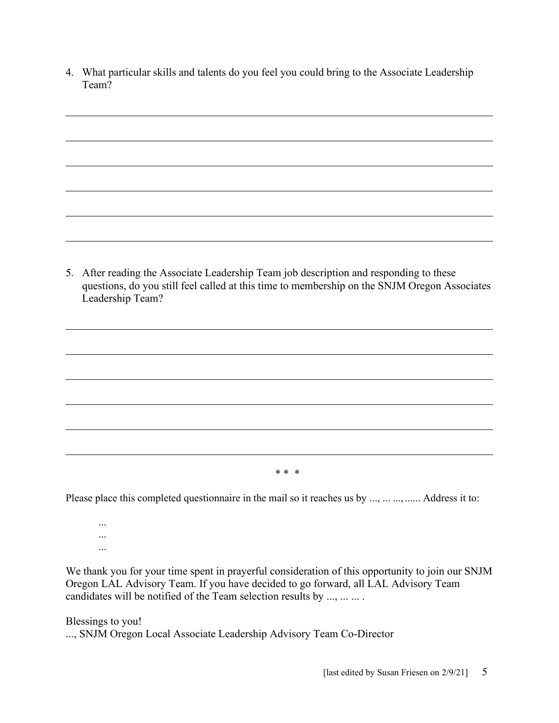4. What particular skills and talents do you feel you could bring to the Associate Leadership Team?

5. After reading the Associate Leadership Team job description and responding to these questions, do you still feel called at this time to membership on the SNJM Oregon Associates Leadership Team?

\* \* \*

Please place this completed questionnaire in the mail so it reaches us by ..., ... ..., ....... Address it to:

... ... ...

We thank you for your time spent in prayerful consideration of this opportunity to join our SNJM Oregon LAL Advisory Team. If you have decided to go forward, all LAL Advisory Team candidates will be notified of the Team selection results by ..., ... ... .

Blessings to you! ..., SNJM Oregon Local Associate Leadership Advisory Team Co-Director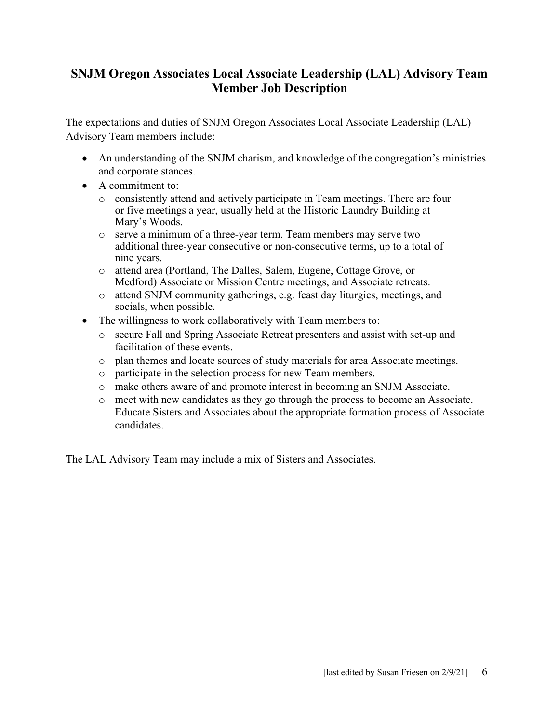### **SNJM Oregon Associates Local Associate Leadership (LAL) Advisory Team Member Job Description**

The expectations and duties of SNJM Oregon Associates Local Associate Leadership (LAL) Advisory Team members include:

- An understanding of the SNJM charism, and knowledge of the congregation's ministries and corporate stances.
- A commitment to:
	- o consistently attend and actively participate in Team meetings. There are four or five meetings a year, usually held at the Historic Laundry Building at Mary's Woods.
	- o serve a minimum of a three-year term. Team members may serve two additional three-year consecutive or non-consecutive terms, up to a total of nine years.
	- o attend area (Portland, The Dalles, Salem, Eugene, Cottage Grove, or Medford) Associate or Mission Centre meetings, and Associate retreats.
	- o attend SNJM community gatherings, e.g. feast day liturgies, meetings, and socials, when possible.
- The willingness to work collaboratively with Team members to:
	- o secure Fall and Spring Associate Retreat presenters and assist with set-up and facilitation of these events.
	- o plan themes and locate sources of study materials for area Associate meetings.
	- o participate in the selection process for new Team members.
	- o make others aware of and promote interest in becoming an SNJM Associate.
	- o meet with new candidates as they go through the process to become an Associate. Educate Sisters and Associates about the appropriate formation process of Associate candidates.

The LAL Advisory Team may include a mix of Sisters and Associates.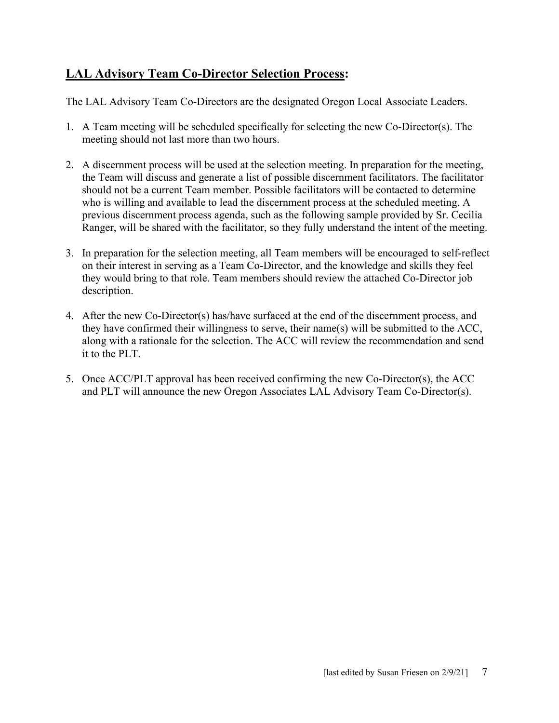### **LAL Advisory Team Co-Director Selection Process:**

The LAL Advisory Team Co-Directors are the designated Oregon Local Associate Leaders.

- 1. A Team meeting will be scheduled specifically for selecting the new Co-Director(s). The meeting should not last more than two hours.
- 2. A discernment process will be used at the selection meeting. In preparation for the meeting, the Team will discuss and generate a list of possible discernment facilitators. The facilitator should not be a current Team member. Possible facilitators will be contacted to determine who is willing and available to lead the discernment process at the scheduled meeting. A previous discernment process agenda, such as the following sample provided by Sr. Cecilia Ranger, will be shared with the facilitator, so they fully understand the intent of the meeting.
- 3. In preparation for the selection meeting, all Team members will be encouraged to self-reflect on their interest in serving as a Team Co-Director, and the knowledge and skills they feel they would bring to that role. Team members should review the attached Co-Director job description.
- 4. After the new Co-Director(s) has/have surfaced at the end of the discernment process, and they have confirmed their willingness to serve, their name(s) will be submitted to the ACC, along with a rationale for the selection. The ACC will review the recommendation and send it to the PLT.
- 5. Once ACC/PLT approval has been received confirming the new Co-Director(s), the ACC and PLT will announce the new Oregon Associates LAL Advisory Team Co-Director(s).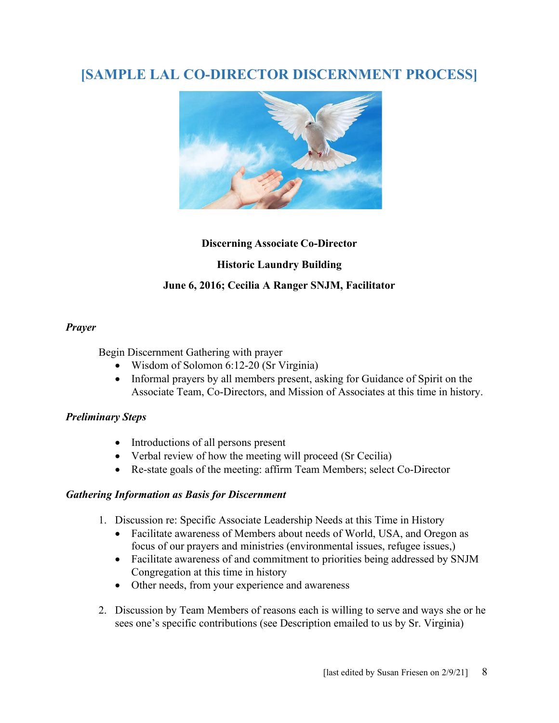# **[SAMPLE LAL CO-DIRECTOR DISCERNMENT PROCESS]**



#### **Discerning Associate Co-Director**

#### **Historic Laundry Building**

#### **June 6, 2016; Cecilia A Ranger SNJM, Facilitator**

#### *Prayer*

Begin Discernment Gathering with prayer

- Wisdom of Solomon 6:12-20 (Sr Virginia)
- Informal prayers by all members present, asking for Guidance of Spirit on the Associate Team, Co-Directors, and Mission of Associates at this time in history.

#### *Preliminary Steps*

- Introductions of all persons present
- Verbal review of how the meeting will proceed (Sr Cecilia)
- Re-state goals of the meeting: affirm Team Members; select Co-Director

#### *Gathering Information as Basis for Discernment*

- 1. Discussion re: Specific Associate Leadership Needs at this Time in History
	- Facilitate awareness of Members about needs of World, USA, and Oregon as focus of our prayers and ministries (environmental issues, refugee issues,)
	- Facilitate awareness of and commitment to priorities being addressed by SNJM Congregation at this time in history
	- Other needs, from your experience and awareness
- 2. Discussion by Team Members of reasons each is willing to serve and ways she or he sees one's specific contributions (see Description emailed to us by Sr. Virginia)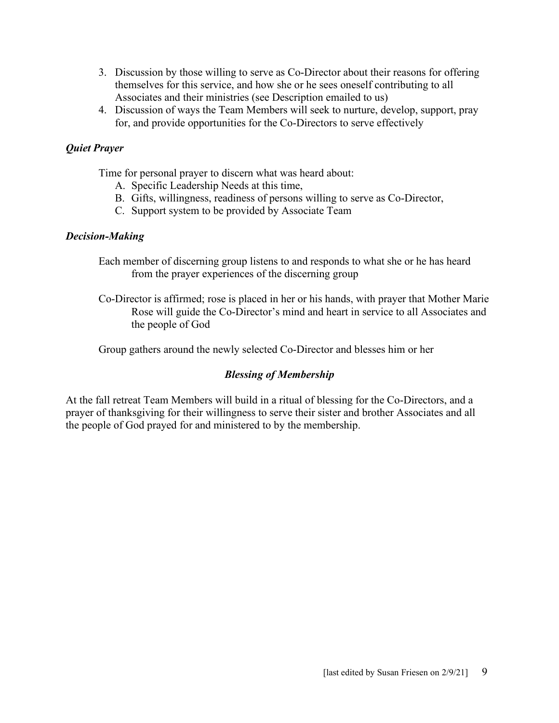- 3. Discussion by those willing to serve as Co-Director about their reasons for offering themselves for this service, and how she or he sees oneself contributing to all Associates and their ministries (see Description emailed to us)
- 4. Discussion of ways the Team Members will seek to nurture, develop, support, pray for, and provide opportunities for the Co-Directors to serve effectively

#### *Quiet Prayer*

Time for personal prayer to discern what was heard about:

- A. Specific Leadership Needs at this time,
- B. Gifts, willingness, readiness of persons willing to serve as Co-Director,
- C. Support system to be provided by Associate Team

#### *Decision-Making*

- Each member of discerning group listens to and responds to what she or he has heard from the prayer experiences of the discerning group
- Co-Director is affirmed; rose is placed in her or his hands, with prayer that Mother Marie Rose will guide the Co-Director's mind and heart in service to all Associates and the people of God

Group gathers around the newly selected Co-Director and blesses him or her

#### *Blessing of Membership*

At the fall retreat Team Members will build in a ritual of blessing for the Co-Directors, and a prayer of thanksgiving for their willingness to serve their sister and brother Associates and all the people of God prayed for and ministered to by the membership.